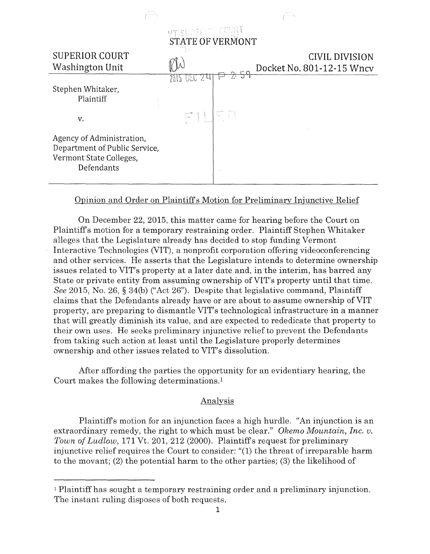

## Opinion and Order on Plaintiffs Motion for Preliminary Injunctive Relief

On December 22, 2015, this matter came for hearing before the Court on Plaintiffs motion for a temporary restraining order. Plaintiff Stephen Whitaker alleges that the Legislature already has decided to stop funding Vermont Interactive Technologies (VIT), a nonprofit corporation offering videoconferencing and other services. He asserts that the Legislature intends to determine ownership issues related to VIT's property at a later date and, in the interim, has barred any State or private entity from assuming ownership of VIT's property until that time. *See* 2015, No. 26, § 34(b) ("Act 26"). Despite that legislative command, Plaintiff claims that the Defendants already have or are about to assume ownership of VIT property, are preparing to dismantle VIT's technological infrastructure in a manner that will greatly diminish its value, and are expected to rededicate that property to their own uses. He seeks preliminary injunctive relief to prevent the Defendants from taking such action at least until the Legislature properly determines ownership and other issues related to VIT's dissolution.

After affording the parties the opportunity for an evidentiary hearing, the Court makes the following determinations.<sup>1</sup>

## Analysis

Plaintiffs motion for an injunction faces a high hurdle. "An injunction is an extraordinary remedy, the right to which must be clear." *Okemo Mountain, Inc. v. Town of Ludlow,* 171 Vt. 201, 212 (2000). Plaintiffs request for preliminary injunctive relief requires the Court to consider: "(1) the threat of irreparable harm to the movant; (2) the potential harm to the other parties; (3) the likelihood of

<sup>1</sup>Plaintiff has sought a temporary restraining order and a preliminary injunction. The instant ruling disposes of both requests.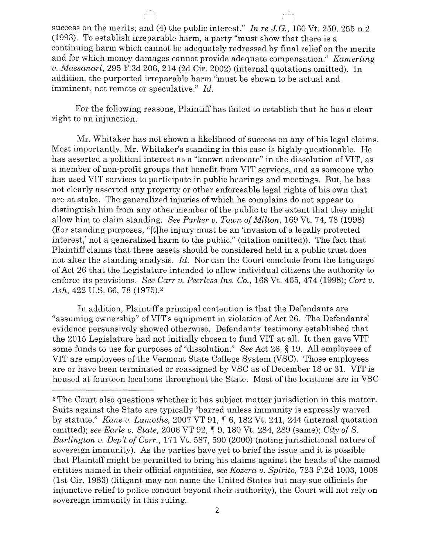success on the merits; and (4) the public interest." *In re J.G.,* 160 Vt. 250, 255 n.2 (1993). To establish irreparable harm, a party "must show that there is a continuing harm which cannot be adequately redressed by final relief on the merits and for which money damages cannot provide adequate compensation." *Kamerling v. Massanari,* 295 F.3d 206, 214 (2d Cir. 2002) (internal quotations omitted). In addition, the purported irreparable harm "must be shown to be actual and imminent, not remote or speculative." *Id.* 

For the following reasons, Plaintiff has failed to establish that he has a clear right to an injunction.

Mr. Whitaker has not shown a likelihood of success on any of his legal claims. Most importantly, Mr. Whitaker's standing in this case is highly questionable. He has asserted a political interest as a "known advocate" in the dissolution of VIT, as a member of non-profit groups that benefit from VIT services, and as someone who has used VIT services to participate in public hearings and meetings. But, he has not clearly asserted any property or other enforceable legal rights of his own that are at stake. The generalized injuries of which he complains do not appear to distinguish him from any other member of the public to the extent that they might allow him to claim standing. *See Parker v. Town of Milton*, 169 Vt. 74, 78 (1998) (For standing purposes, "[t]he injury must be an 'invasion of a legally protected interest,' not a generalized harm to the public." (citation omitted)). The fact that Plaintiff claims that these assets should be considered held in a public trust does not alter the standing analysis. *Id.* Nor can the Court conclude from the language of Act 26 that the Legislature intended to allow individual citizens the authority to enforce its provisions. *See Carr v. Peerless Ins. Co.,* 168 Vt. 465, 474 (1998); *Cart v. Ash,* 422 U.S. 66, 78 (1975).2

In addition, Plaintiffs principal contention is that the Defendants are "assuming ownership" ofVIT's equipment in violation of Act 26. The Defendants' evidence persuasively showed otherwise. Defendants' testimony established that the 2015 Legislature had not initially chosen to fund VIT at all. It then gave VIT some funds to use for purposes of "dissolution." *See* Act 26, § 19. All employees of VIT are employees ofthe Vermont State College System (VSC). Those employees are or have been terminated or reassigned by VSC as of December 18 or 31. VIT is housed at fourteen locations throughout the State. Most of the locations are in VSC

<sup>2</sup> The Court also questions whether it has subject matter jurisdiction in this matter. Suits against the State are typically "barred unless immunity is expressly waived by statute." *Kane v. Lamothe,* 2007 VT 91, ¶ 6, 182 Vt. 241, 244 (internal quotation omitted); see Earle v. State, 2006 VT 92,  $\parallel$  9, 180 Vt. 284, 289 (same); *City of S. Burlington v. Dep't of Carr.,* 171 Vt. 587, 590 (2000) (noting jurisdictional nature of sovereign immunity). As the parties have yet to brief the issue and it is possible that Plaintiff might be permitted to bring his claims against the heads of the named entities named in their official capacities, *see Kozera v. Spirito,* 723 F.2d 1003, 1008 (1st Cir. 1983) (litigant may not name the United States but may sue officials for injunctive relief to police conduct beyond their authority), the Court will not rely on sovereign immunity in this ruling.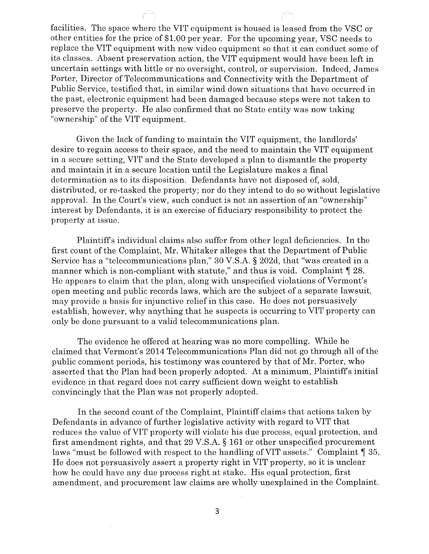facilities. The space where the VIT equipment is housed is leased from the VSC or other entities for the price of \$1.00 per year. For the upcoming year, VSC needs to replace the VIT equipment with new video equipment so that it can conduct some of its classes. Absent preservation action, the VIT equipment would have been left in uncertain settings with little or no oversight, control, or supervision. Indeed, James Porter, Director of Telecommunications and Connectivity with the Department of Public Service, testified that, in similar wind down situations that have occurred in the past, electronic equipment had been damaged because steps were not taken to preserve the property. He also confirmed that no State entity was now taking "ownership" of the VIT equipment.

Given the lack of funding to maintain the VIT equipment, the landlords' desire to regain access to their space, and the need to maintain the VIT equipment in a secure setting, VIT and the State developed a plan to dismantle the property and maintain it in a secure location until the Legislature makes a final determination as to its disposition. Defendants have not disposed of, sold, distributed, or re-tasked the property; nor do they intend to do so without legislative approval. In the Court's view, such conduct is not an assertion of an "ownership" interest by Defendants, it is an exercise of fiduciary responsibility to protect the property at issue.

Plaintiffs individual claims also suffer from other legal deficiencies. In the first count of the Complaint, Mr. Whitaker alleges that the Department of Public Service has a "telecommunications plan," 30 V.S.A. § 202d, that "was created in a manner which is non-compliant with statute," and thus is void. Complaint  $\P$  28. He appears to claim that the plan, along with unspecified violations of Vermont's open meeting and public records laws, which are the subject of a separate lawsuit, may provide a basis for injunctive relief in this case. He does not persuasively establish, however, why anything that he suspects is occurring to VIT property can only be done pursuant to a valid telecommunications plan.

The evidence he offered at hearing was no more compelling. While he claimed that Vermont's 2014 Telecommunications Plan did not go through all of the public comment periods, his testimony was countered by that of Mr. Porter, who asserted that the Plan had been properly adopted. At a minimum, Plaintiffs initial evidence in that regard does not carry sufficient down weight to establish convincingly that the Plan was not properly adopted.

In the second count of the Complaint, Plaintiff claims that actions taken by Defendants in advance of further legislative activity with regard to VIT that reduces the value of VIT property will violate his due process, equal protection, and first amendment rights, and that 29 V.S.A. § 161 or other unspecified procurement laws "must be followed with respect to the handling of VIT assets." Complaint  $\P$  35. He does not persuasively assert a property right in VIT property, so it is unclear how he could have any due process right at stake. His equal protection, first amendment, and procurement law claims are wholly unexplained in the Complaint.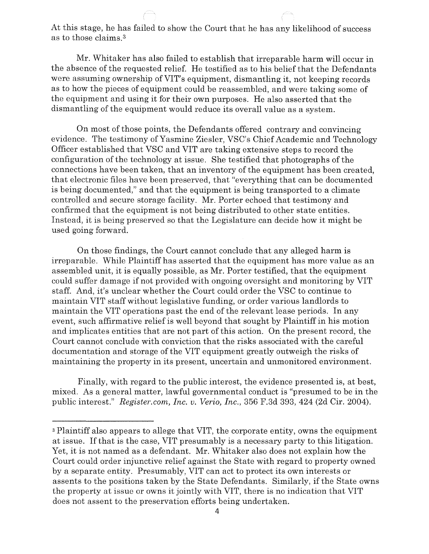At this stage, he has failed to show the Court that he has any likelihood of success as to those claims. 3

Mr. Whitaker has also failed to establish that irreparable harm will occur in the absence of the requested relief. He testified as to his belief that the Defendants were assuming ownership of VIT's equipment, dismantling it, not keeping records as to how the pieces of equipment could be reassembled, and were taking some of the equipment and using it for their own purposes. He also asserted that the dismantling of the equipment would reduce its overall value as a system.

On most of those points, the Defendants offered contrary and convincing evidence. The testimony of Yasmine Ziesler, VSC's Chief Academic and Technology Officer established that VSC and VIT are taking extensive steps to record the configuration of the technology at issue. She testified that photographs of the connections have been taken, that an inventory of the equipment has been created, that electronic files have been preserved, that "everything that can be documented is being documented," and that the equipment is being transported to a climate controlled and secure storage facility. Mr. Porter echoed that testimony and confirmed that the equipment is not being distributed to other state entities. Instead, it is being preserved so that the Legislature can decide how it might be used going forward.

On those findings, the Court cannot conclude that any alleged harm is irreparable. While Plaintiff has asserted that the equipment has more value as an assembled unit, it is equally possible, as Mr. Porter testified, that the equipment could suffer damage if not provided with ongoing oversight and monitoring by VIT staff. And, it's unclear whether the Court could order the VSC to continue to maintain VIT staff without legislative funding, or order various landlords to maintain the VIT operations past the end of the relevant lease periods. In any event, such affirmative relief is well beyond that sought by Plaintiff in his motion and implicates entities that are not part of this action. On the present record, the Court cannot conclude with conviction that the risks associated with the careful documentation and storage of the VIT equipment greatly outweigh the risks of maintaining the property in its present, uncertain and unmonitored environment.

Finally, with regard to the public interest, the evidence presented is, at best, mixed. As a general matter, lawful governmental conduct is "presumed to be in the public interest." *Register.com, Inc. v. Verio, Inc.,* 356 F.3d 393, 424 (2d Cir. 2004).

<sup>3</sup> Plaintiff also appears to allege that VIT, the corporate entity, owns the equipment at issue. If that is the case, VIT presumably is a necessary party to this litigation. Yet, it is not named as a defendant. Mr. Whitaker also does not explain how the Court could order injunctive relief against the State with regard to property owned by a separate entity. Presumably, VIT can act to protect its own interests or assents to the positions taken by the State Defendants. Similarly, if the State owns the property at issue or owns it jointly with VIT, there is no indication that VIT does not assent to the preservation efforts being undertaken.